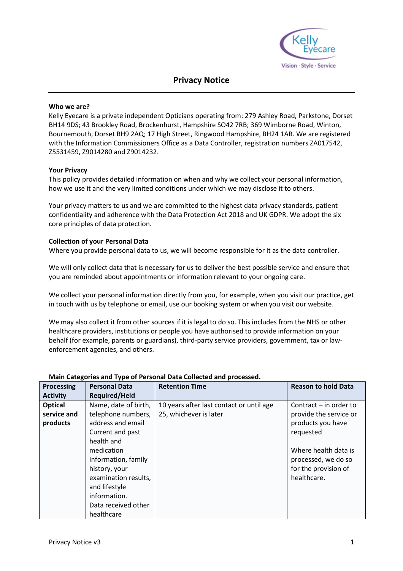

# **Privacy Notice**

#### **Who we are?**

Kelly Eyecare is a private independent Opticians operating from: 279 Ashley Road, Parkstone, Dorset BH14 9DS; 43 Brookley Road, Brockenhurst, Hampshire SO42 7RB; 369 Wimborne Road, Winton, Bournemouth, Dorset BH9 2AQ; 17 High Street, Ringwood Hampshire, BH24 1AB. We are registered with the Information Commissioners Office as a Data Controller, registration numbers ZA017542, Z5531459, Z9014280 and Z9014232.

#### **Your Privacy**

This policy provides detailed information on when and why we collect your personal information, how we use it and the very limited conditions under which we may disclose it to others.

Your privacy matters to us and we are committed to the highest data privacy standards, patient confidentiality and adherence with the Data Protection Act 2018 and UK GDPR. We adopt the six core principles of data protection.

#### **Collection of your Personal Data**

Where you provide personal data to us, we will become responsible for it as the data controller.

We will only collect data that is necessary for us to deliver the best possible service and ensure that you are reminded about appointments or information relevant to your ongoing care.

We collect your personal information directly from you, for example, when you visit our practice, get in touch with us by telephone or email, use our booking system or when you visit our website.

We may also collect it from other sources if it is legal to do so. This includes from the NHS or other healthcare providers, institutions or people you have authorised to provide information on your behalf (for example, parents or guardians), third-party service providers, government, tax or lawenforcement agencies, and others.

| <b>Processing</b> | <b>Personal Data</b> | <b>Retention Time</b>                    | <b>Reason to hold Data</b> |
|-------------------|----------------------|------------------------------------------|----------------------------|
| <b>Activity</b>   | <b>Required/Held</b> |                                          |                            |
| <b>Optical</b>    | Name, date of birth, | 10 years after last contact or until age | Contract $-$ in order to   |
| service and       | telephone numbers,   | 25, whichever is later                   | provide the service or     |
| products          | address and email    |                                          | products you have          |
|                   | Current and past     |                                          | requested                  |
|                   | health and           |                                          |                            |
|                   | medication           |                                          | Where health data is       |
|                   | information, family  |                                          | processed, we do so        |
|                   | history, your        |                                          | for the provision of       |
|                   | examination results, |                                          | healthcare.                |
|                   | and lifestyle        |                                          |                            |
|                   | information.         |                                          |                            |
|                   | Data received other  |                                          |                            |
|                   | healthcare           |                                          |                            |

## **Main Categories and Type of Personal Data Collected and processed.**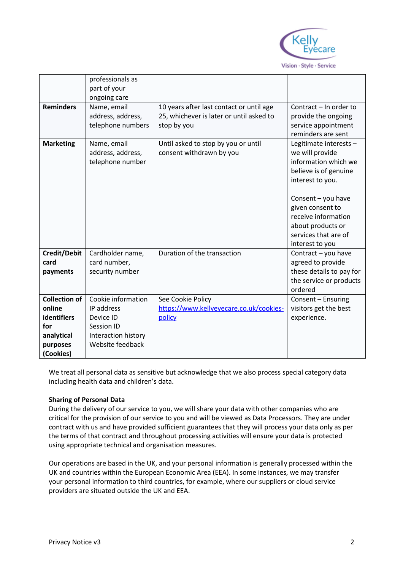

|                      | professionals as    |                                          |                          |
|----------------------|---------------------|------------------------------------------|--------------------------|
|                      | part of your        |                                          |                          |
|                      | ongoing care        |                                          |                          |
| <b>Reminders</b>     | Name, email         | 10 years after last contact or until age | Contract – In order to   |
|                      | address, address,   | 25, whichever is later or until asked to | provide the ongoing      |
|                      | telephone numbers   | stop by you                              | service appointment      |
|                      |                     |                                          | reminders are sent       |
|                      |                     |                                          |                          |
| <b>Marketing</b>     | Name, email         | Until asked to stop by you or until      | Legitimate interests -   |
|                      | address, address,   | consent withdrawn by you                 | we will provide          |
|                      | telephone number    |                                          | information which we     |
|                      |                     |                                          | believe is of genuine    |
|                      |                     |                                          | interest to you.         |
|                      |                     |                                          |                          |
|                      |                     |                                          | Consent - you have       |
|                      |                     |                                          | given consent to         |
|                      |                     |                                          | receive information      |
|                      |                     |                                          | about products or        |
|                      |                     |                                          | services that are of     |
|                      |                     |                                          | interest to you          |
| Credit/Debit         | Cardholder name,    | Duration of the transaction              | Contract - you have      |
| card                 | card number,        |                                          | agreed to provide        |
| payments             | security number     |                                          | these details to pay for |
|                      |                     |                                          | the service or products  |
|                      |                     |                                          | ordered                  |
| <b>Collection of</b> | Cookie information  | See Cookie Policy                        | Consent - Ensuring       |
| online               | IP address          | https://www.kellyeyecare.co.uk/cookies-  | visitors get the best    |
| identifiers          | Device ID           | policy                                   | experience.              |
| for                  | Session ID          |                                          |                          |
| analytical           | Interaction history |                                          |                          |
| purposes             | Website feedback    |                                          |                          |
| (Cookies)            |                     |                                          |                          |

We treat all personal data as sensitive but acknowledge that we also process special category data including health data and children's data.

## **Sharing of Personal Data**

During the delivery of our service to you, we will share your data with other companies who are critical for the provision of our service to you and will be viewed as Data Processors. They are under contract with us and have provided sufficient guarantees that they will process your data only as per the terms of that contract and throughout processing activities will ensure your data is protected using appropriate technical and organisation measures.

Our operations are based in the UK, and your personal information is generally processed within the UK and countries within the European Economic Area (EEA). In some instances, we may transfer your personal information to third countries, for example, where our suppliers or cloud service providers are situated outside the UK and EEA.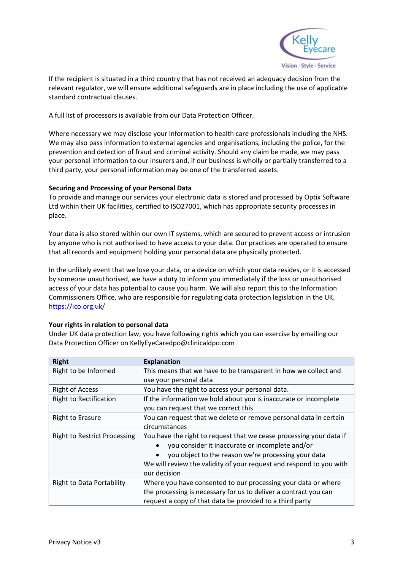

If the recipient is situated in a third country that has not received an adequacy decision from the relevant regulator, we will ensure additional safeguards are in place including the use of applicable standard contractual clauses.

A full list of processors is available from our Data Protection Officer.

Where necessary we may disclose your information to health care professionals including the NHS. We may also pass information to external agencies and organisations, including the police, for the prevention and detection of fraud and criminal activity. Should any claim be made, we may pass your personal information to our insurers and, if our business is wholly or partially transferred to a third party, your personal information may be one of the transferred assets.

## **Securing and Processing of your Personal Data**

To provide and manage our services your electronic data is stored and processed by Optix Software Ltd within their UK facilities, certified to ISO27001, which has appropriate security processes in place.

Your data is also stored within our own IT systems, which are secured to prevent access or intrusion by anyone who is not authorised to have access to your data. Our practices are operated to ensure that all records and equipment holding your personal data are physically protected.

In the unlikely event that we lose your data, or a device on which your data resides, or it is accessed by someone unauthorised, we have a duty to inform you immediately if the loss or unauthorised access of your data has potential to cause you harm. We will also report this to the Information Commissioners Office, who are responsible for regulating data protection legislation in the UK. <https://ico.org.uk/>

## **Your rights in relation to personal data**

Under UK data protection law, you have following rights which you can exercise by emailing our Data Protection Officer on KellyEyeCaredpo@clinicaldpo.com

| <b>Right</b>                        | <b>Explanation</b>                                                  |
|-------------------------------------|---------------------------------------------------------------------|
| Right to be Informed                | This means that we have to be transparent in how we collect and     |
|                                     | use your personal data                                              |
| <b>Right of Access</b>              | You have the right to access your personal data.                    |
| <b>Right to Rectification</b>       | If the information we hold about you is inaccurate or incomplete    |
|                                     | you can request that we correct this                                |
| <b>Right to Erasure</b>             | You can request that we delete or remove personal data in certain   |
|                                     | circumstances                                                       |
| <b>Right to Restrict Processing</b> | You have the right to request that we cease processing your data if |
|                                     | you consider it inaccurate or incomplete and/or                     |
|                                     | you object to the reason we're processing your data                 |
|                                     | We will review the validity of your request and respond to you with |
|                                     | our decision                                                        |
| <b>Right to Data Portability</b>    | Where you have consented to our processing your data or where       |
|                                     | the processing is necessary for us to deliver a contract you can    |
|                                     | request a copy of that data be provided to a third party            |